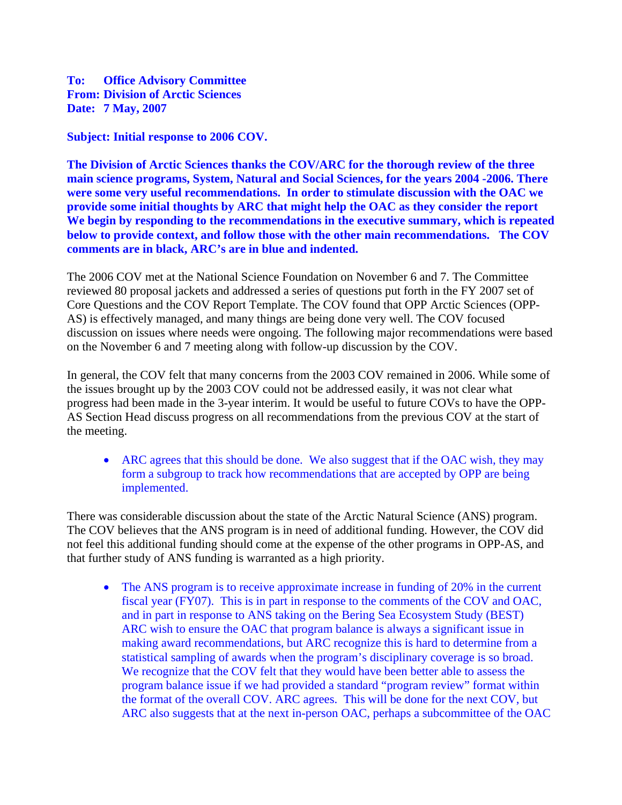**To: Office Advisory Committee From: Division of Arctic Sciences Date: 7 May, 2007** 

**Subject: Initial response to 2006 COV.** 

**The Division of Arctic Sciences thanks the COV/ARC for the thorough review of the three main science programs, System, Natural and Social Sciences, for the years 2004 -2006. There were some very useful recommendations. In order to stimulate discussion with the OAC we provide some initial thoughts by ARC that might help the OAC as they consider the report We begin by responding to the recommendations in the executive summary, which is repeated below to provide context, and follow those with the other main recommendations. The COV comments are in black, ARC's are in blue and indented.** 

The 2006 COV met at the National Science Foundation on November 6 and 7. The Committee reviewed 80 proposal jackets and addressed a series of questions put forth in the FY 2007 set of Core Questions and the COV Report Template. The COV found that OPP Arctic Sciences (OPP-AS) is effectively managed, and many things are being done very well. The COV focused discussion on issues where needs were ongoing. The following major recommendations were based on the November 6 and 7 meeting along with follow-up discussion by the COV.

In general, the COV felt that many concerns from the 2003 COV remained in 2006. While some of the issues brought up by the 2003 COV could not be addressed easily, it was not clear what progress had been made in the 3-year interim. It would be useful to future COVs to have the OPP-AS Section Head discuss progress on all recommendations from the previous COV at the start of the meeting.

• ARC agrees that this should be done. We also suggest that if the OAC wish, they may form a subgroup to track how recommendations that are accepted by OPP are being implemented.

There was considerable discussion about the state of the Arctic Natural Science (ANS) program. The COV believes that the ANS program is in need of additional funding. However, the COV did not feel this additional funding should come at the expense of the other programs in OPP-AS, and that further study of ANS funding is warranted as a high priority.

• The ANS program is to receive approximate increase in funding of 20% in the current fiscal year (FY07). This is in part in response to the comments of the COV and OAC, and in part in response to ANS taking on the Bering Sea Ecosystem Study (BEST) ARC wish to ensure the OAC that program balance is always a significant issue in making award recommendations, but ARC recognize this is hard to determine from a statistical sampling of awards when the program's disciplinary coverage is so broad. We recognize that the COV felt that they would have been better able to assess the program balance issue if we had provided a standard "program review" format within the format of the overall COV. ARC agrees. This will be done for the next COV, but ARC also suggests that at the next in-person OAC, perhaps a subcommittee of the OAC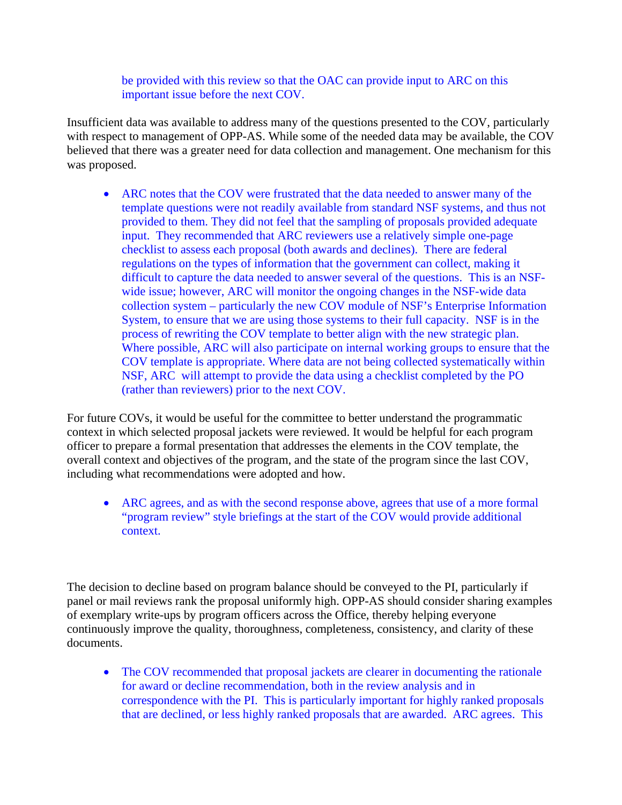be provided with this review so that the OAC can provide input to ARC on this important issue before the next COV.

Insufficient data was available to address many of the questions presented to the COV, particularly with respect to management of OPP-AS. While some of the needed data may be available, the COV believed that there was a greater need for data collection and management. One mechanism for this was proposed.

• ARC notes that the COV were frustrated that the data needed to answer many of the template questions were not readily available from standard NSF systems, and thus not provided to them. They did not feel that the sampling of proposals provided adequate input. They recommended that ARC reviewers use a relatively simple one-page checklist to assess each proposal (both awards and declines). There are federal regulations on the types of information that the government can collect, making it difficult to capture the data needed to answer several of the questions. This is an NSFwide issue; however, ARC will monitor the ongoing changes in the NSF-wide data collection system – particularly the new COV module of NSF's Enterprise Information System, to ensure that we are using those systems to their full capacity. NSF is in the process of rewriting the COV template to better align with the new strategic plan. Where possible, ARC will also participate on internal working groups to ensure that the COV template is appropriate. Where data are not being collected systematically within NSF, ARC will attempt to provide the data using a checklist completed by the PO (rather than reviewers) prior to the next COV.

For future COVs, it would be useful for the committee to better understand the programmatic context in which selected proposal jackets were reviewed. It would be helpful for each program officer to prepare a formal presentation that addresses the elements in the COV template, the overall context and objectives of the program, and the state of the program since the last COV, including what recommendations were adopted and how.

• ARC agrees, and as with the second response above, agrees that use of a more formal "program review" style briefings at the start of the COV would provide additional context.

The decision to decline based on program balance should be conveyed to the PI, particularly if panel or mail reviews rank the proposal uniformly high. OPP-AS should consider sharing examples of exemplary write-ups by program officers across the Office, thereby helping everyone continuously improve the quality, thoroughness, completeness, consistency, and clarity of these documents.

• The COV recommended that proposal jackets are clearer in documenting the rationale for award or decline recommendation, both in the review analysis and in correspondence with the PI. This is particularly important for highly ranked proposals that are declined, or less highly ranked proposals that are awarded. ARC agrees. This